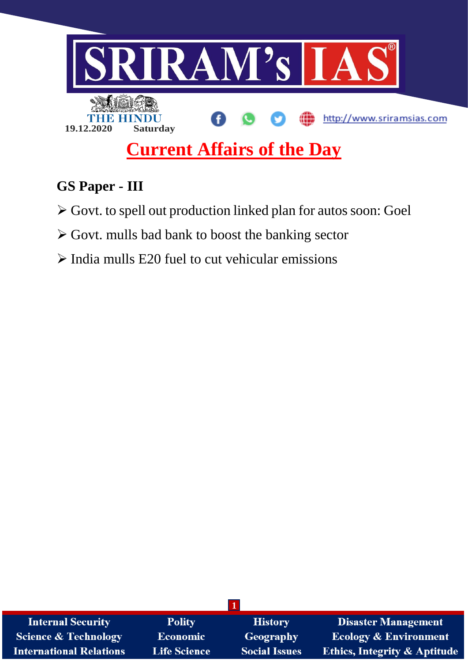

# **GS Paper - III**

- Govt. to spell out production linked plan for autos soon: Goel
- Govt. mulls bad bank to boost the banking sector
- $\triangleright$  India mulls E20 fuel to cut vehicular emissions

| <b>Internal Security</b>        | <b>Polity</b>       | <b>History</b>       | <b>Disaster Management</b>              |
|---------------------------------|---------------------|----------------------|-----------------------------------------|
| <b>Science &amp; Technology</b> | <b>Economic</b>     | Geography            | <b>Ecology &amp; Environment</b>        |
| <b>International Relations</b>  | <b>Life Science</b> | <b>Social Issues</b> | <b>Ethics, Integrity &amp; Aptitude</b> |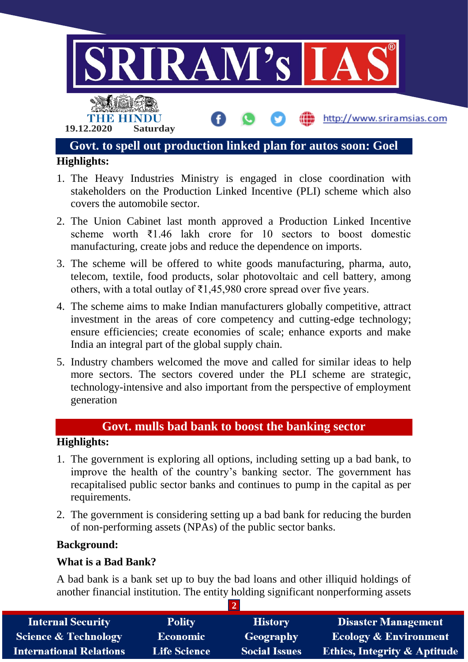

- 1. The Heavy Industries Ministry is engaged in close coordination with stakeholders on the Production Linked Incentive (PLI) scheme which also covers the automobile sector.
- 2. The Union Cabinet last month approved a Production Linked Incentive scheme worth ₹1.46 lakh crore for 10 sectors to boost domestic manufacturing, create jobs and reduce the dependence on imports.
- 3. The scheme will be offered to white goods manufacturing, pharma, auto, telecom, textile, food products, solar photovoltaic and cell battery, among others, with a total outlay of  $\bar{\tau}$ 1,45,980 crore spread over five years.
- 4. The scheme aims to make Indian manufacturers globally competitive, attract investment in the areas of core competency and cutting-edge technology; ensure efficiencies; create economies of scale; enhance exports and make India an integral part of the global supply chain.
- 5. Industry chambers welcomed the move and called for similar ideas to help more sectors. The sectors covered under the PLI scheme are strategic, technology-intensive and also important from the perspective of employment generation

## **Govt. mulls bad bank to boost the banking sector**

### **Highlights:**

- 1. The government is exploring all options, including setting up a bad bank, to improve the health of the country's banking sector. The government has recapitalised public sector banks and continues to pump in the capital as per requirements.
- 2. The government is considering setting up a bad bank for reducing the burden of non-performing assets (NPAs) of the public sector banks.

### **Background:**

### **What is a Bad Bank?**

A bad bank is a bank set up to buy the bad loans and other illiquid holdings of another financial institution. The entity holding significant nonperforming assets

| <b>Internal Security</b>        | <b>Polity</b>       | <b>History</b>       | <b>Disaster Management</b>              |  |  |  |
|---------------------------------|---------------------|----------------------|-----------------------------------------|--|--|--|
| <b>Science &amp; Technology</b> | Economic            | Geography            | <b>Ecology &amp; Environment</b>        |  |  |  |
| <b>International Relations</b>  | <b>Life Science</b> | <b>Social Issues</b> | <b>Ethics, Integrity &amp; Aptitude</b> |  |  |  |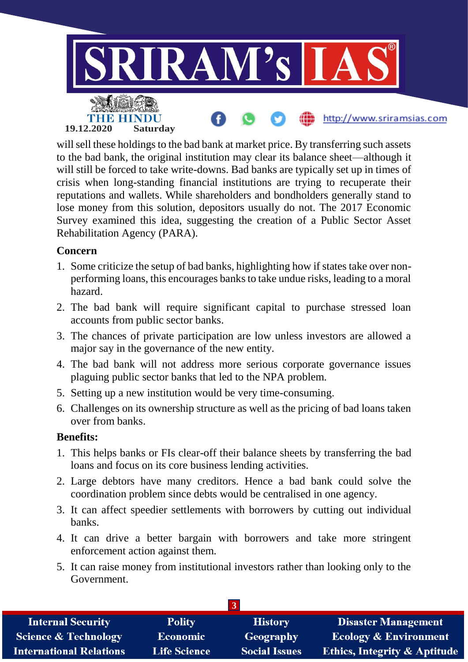

will sell these holdings to the bad bank at market price. By transferring such assets to the bad bank, the original institution may clear its balance sheet—although it will still be forced to take write-downs. Bad banks are typically set up in times of crisis when long-standing financial institutions are trying to recuperate their reputations and wallets. While shareholders and bondholders generally stand to lose money from this solution, depositors usually do not. The 2017 Economic Survey examined this idea, suggesting the creation of a Public Sector Asset Rehabilitation Agency (PARA).

### **Concern**

- 1. Some criticize the setup of bad banks, highlighting how if states take over nonperforming loans, this encourages banks to take undue risks, leading to a moral hazard.
- 2. The bad bank will require significant capital to purchase stressed loan accounts from public sector banks.
- 3. The chances of private participation are low unless investors are allowed a major say in the governance of the new entity.
- 4. The bad bank will not address more serious corporate governance issues plaguing public sector banks that led to the NPA problem.
- 5. Setting up a new institution would be very time-consuming.
- 6. Challenges on its ownership structure as well as the pricing of bad loans taken over from banks.

### **Benefits:**

- 1. This helps banks or FIs clear-off their balance sheets by transferring the bad loans and focus on its core business lending activities.
- 2. Large debtors have many creditors. Hence a bad bank could solve the coordination problem since debts would be centralised in one agency.
- 3. It can affect speedier settlements with borrowers by cutting out individual banks.
- 4. It can drive a better bargain with borrowers and take more stringent enforcement action against them.
- 5. It can raise money from institutional investors rather than looking only to the Government.

| <b>Internal Security</b>        | <b>Polity</b>       | <b>History</b>       | <b>Disaster Management</b>              |  |  |
|---------------------------------|---------------------|----------------------|-----------------------------------------|--|--|
| <b>Science &amp; Technology</b> | <b>Economic</b>     | Geography            | <b>Ecology &amp; Environment</b>        |  |  |
| <b>International Relations</b>  | <b>Life Science</b> | <b>Social Issues</b> | <b>Ethics, Integrity &amp; Aptitude</b> |  |  |